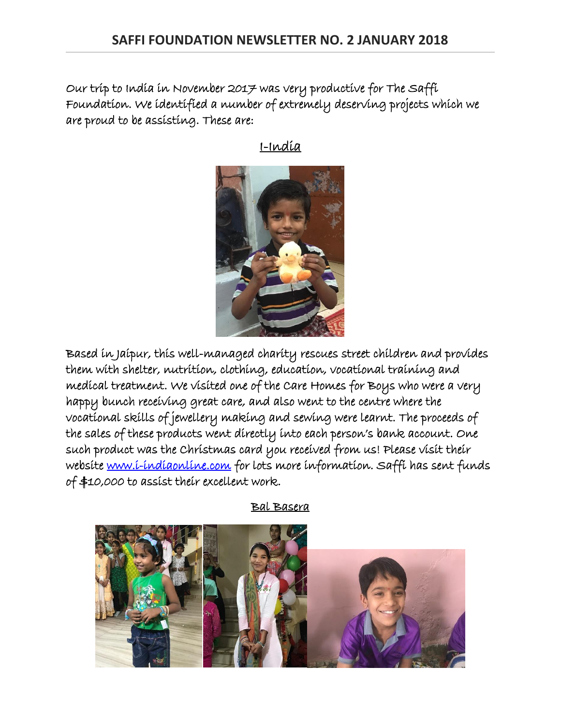Our trip to India in November 2017 was very productive for The Saffi Foundation. We identified a number of extremely deserving projects which we are proud to be assisting. These are:



I-India

Based in Jaipur, this well-managed charity rescues street children and provides them with shelter, nutrition, clothing, education, vocational training and medical treatment. We visited one of the Care Homes for Boys who were a very happy bunch receiving great care, and also went to the centre where the vocational skills of jewellery making and sewing were learnt. The proceeds of the sales of these products went directly into each person's bank account. One such product was the Christmas card you received from us! Please visit their website [www.i-indiaonline.com](http://www.i-indiaonline.com/) for lots more information. Saffi has sent funds of \$10,000 to assist their excellent work.

Bal Basera

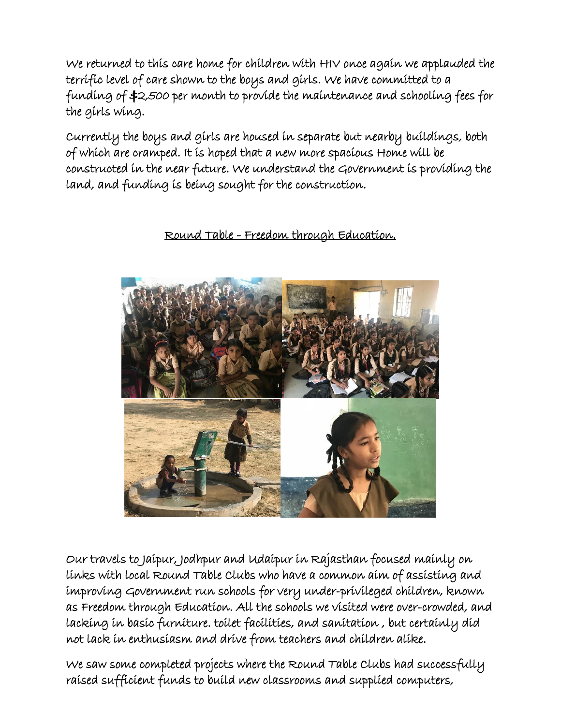We returned to this care home for children with HIV once again we applauded the terrific level of care shown to the boys and girls. We have committed to a funding of \$2,500 per month to provide the maintenance and schooling fees for the girls wing.

Currently the boys and girls are housed in separate but nearby buildings, both of which are cramped. It is hoped that a new more spacious Home will be constructed in the near future. We understand the Government is providing the land, and funding is being sought for the construction.

## Round Table - Freedom through Education.



Our travels to Jaipur, Jodhpur and Udaipur in Rajasthan focused mainly on links with local Round Table Clubs who have a common aim of assisting and improving Government run schools for very under-privileged children, known as Freedom through Education. All the schools we visited were over-crowded, and lacking in basic furniture. toilet facilities, and sanitation , but certainly did not lack in enthusiasm and drive from teachers and children alike.

We saw some completed projects where the Round Table Clubs had successfully raised sufficient funds to build new classrooms and supplied computers,